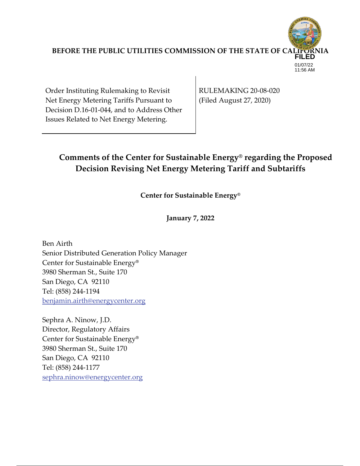

Order Instituting Rulemaking to Revisit Net Energy Metering Tariffs Pursuant to Decision D.16‐01‐044, and to Address Other Issues Related to Net Energy Metering.

RULEMAKING 20‐08‐020 (Filed August 27, 2020)

# **Comments of the Center for Sustainable Energy® regarding the Proposed Decision Revising Net Energy Metering Tariff and Subtariffs**

**Center for Sustainable Energy®**

**January 7, 2022**

Ben Airth Senior Distributed Generation Policy Manager Center for Sustainable Energy**®** 3980 Sherman St., Suite 170 San Diego, CA 92110 Tel: (858) 244‐1194 benjamin.airth@energycenter.org

Sephra A. Ninow, J.D. Director, Regulatory Affairs Center for Sustainable Energy**®** 3980 Sherman St., Suite 170 San Diego, CA 92110 Tel: (858) 244‐1177 sephra.ninow@energycenter.org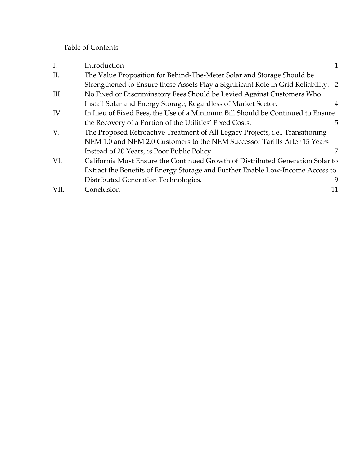## Table of Contents

| $I_{\cdot}$ | Introduction                                                                           |   |
|-------------|----------------------------------------------------------------------------------------|---|
| II.         | The Value Proposition for Behind-The-Meter Solar and Storage Should be                 |   |
|             | Strengthened to Ensure these Assets Play a Significant Role in Grid Reliability. 2     |   |
| III.        | No Fixed or Discriminatory Fees Should be Levied Against Customers Who                 |   |
|             | Install Solar and Energy Storage, Regardless of Market Sector.                         | 4 |
| IV.         | In Lieu of Fixed Fees, the Use of a Minimum Bill Should be Continued to Ensure         |   |
|             | the Recovery of a Portion of the Utilities' Fixed Costs.                               | 5 |
| V.          | The Proposed Retroactive Treatment of All Legacy Projects, <i>i.e.</i> , Transitioning |   |
|             | NEM 1.0 and NEM 2.0 Customers to the NEM Successor Tariffs After 15 Years              |   |
|             | Instead of 20 Years, is Poor Public Policy.                                            |   |
| VI.         | California Must Ensure the Continued Growth of Distributed Generation Solar to         |   |
|             | Extract the Benefits of Energy Storage and Further Enable Low-Income Access to         |   |
|             | Distributed Generation Technologies.                                                   | 9 |
| VII.        | Conclusion                                                                             |   |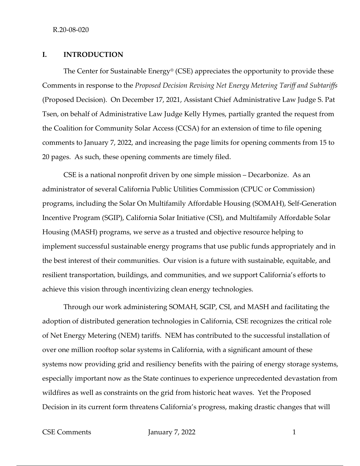## **I. INTRODUCTION**

The Center for Sustainable Energy<sup>®</sup> (CSE) appreciates the opportunity to provide these Comments in response to the *Proposed Decision Revising Net Energy Metering Tariff and Subtariffs* (Proposed Decision). On December 17, 2021, Assistant Chief Administrative Law Judge S. Pat Tsen, on behalf of Administrative Law Judge Kelly Hymes, partially granted the request from the Coalition for Community Solar Access (CCSA) for an extension of time to file opening comments to January 7, 2022, and increasing the page limits for opening comments from 15 to 20 pages. As such, these opening comments are timely filed.

CSE is a national nonprofit driven by one simple mission – Decarbonize. As an administrator of several California Public Utilities Commission (CPUC or Commission) programs, including the Solar On Multifamily Affordable Housing (SOMAH), Self‐Generation Incentive Program (SGIP), California Solar Initiative (CSI), and Multifamily Affordable Solar Housing (MASH) programs, we serve as a trusted and objective resource helping to implement successful sustainable energy programs that use public funds appropriately and in the best interest of their communities. Our vision is a future with sustainable, equitable, and resilient transportation, buildings, and communities, and we support California's efforts to achieve this vision through incentivizing clean energy technologies.

Through our work administering SOMAH, SGIP, CSI, and MASH and facilitating the adoption of distributed generation technologies in California, CSE recognizes the critical role of Net Energy Metering (NEM) tariffs. NEM has contributed to the successful installation of over one million rooftop solar systems in California, with a significant amount of these systems now providing grid and resiliency benefits with the pairing of energy storage systems, especially important now as the State continues to experience unprecedented devastation from wildfires as well as constraints on the grid from historic heat waves. Yet the Proposed Decision in its current form threatens California's progress, making drastic changes that will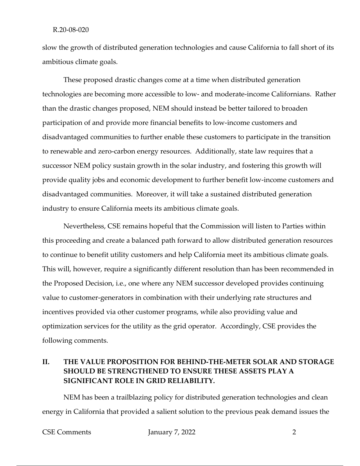slow the growth of distributed generation technologies and cause California to fall short of its ambitious climate goals.

These proposed drastic changes come at a time when distributed generation technologies are becoming more accessible to low‐ and moderate‐income Californians. Rather than the drastic changes proposed, NEM should instead be better tailored to broaden participation of and provide more financial benefits to low‐income customers and disadvantaged communities to further enable these customers to participate in the transition to renewable and zero‐carbon energy resources. Additionally, state law requires that a successor NEM policy sustain growth in the solar industry, and fostering this growth will provide quality jobs and economic development to further benefit low‐income customers and disadvantaged communities. Moreover, it will take a sustained distributed generation industry to ensure California meets its ambitious climate goals.

Nevertheless, CSE remains hopeful that the Commission will listen to Parties within this proceeding and create a balanced path forward to allow distributed generation resources to continue to benefit utility customers and help California meet its ambitious climate goals. This will, however, require a significantly different resolution than has been recommended in the Proposed Decision, i.e., one where any NEM successor developed provides continuing value to customer‐generators in combination with their underlying rate structures and incentives provided via other customer programs, while also providing value and optimization services for the utility as the grid operator. Accordingly, CSE provides the following comments.

## **II. THE VALUE PROPOSITION FOR BEHIND‐THE‐METER SOLAR AND STORAGE SHOULD BE STRENGTHENED TO ENSURE THESE ASSETS PLAY A SIGNIFICANT ROLE IN GRID RELIABILITY.**

NEM has been a trailblazing policy for distributed generation technologies and clean energy in California that provided a salient solution to the previous peak demand issues the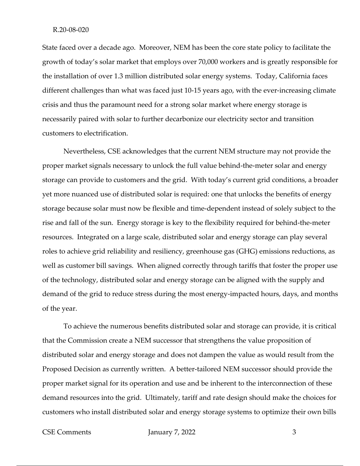State faced over a decade ago. Moreover, NEM has been the core state policy to facilitate the growth of today's solar market that employs over 70,000 workers and is greatly responsible for the installation of over 1.3 million distributed solar energy systems. Today, California faces different challenges than what was faced just 10-15 years ago, with the ever-increasing climate crisis and thus the paramount need for a strong solar market where energy storage is necessarily paired with solar to further decarbonize our electricity sector and transition customers to electrification.

Nevertheless, CSE acknowledges that the current NEM structure may not provide the proper market signals necessary to unlock the full value behind-the-meter solar and energy storage can provide to customers and the grid. With today's current grid conditions, a broader yet more nuanced use of distributed solar is required: one that unlocks the benefits of energy storage because solar must now be flexible and time‐dependent instead of solely subject to the rise and fall of the sun. Energy storage is key to the flexibility required for behind‐the‐meter resources. Integrated on a large scale, distributed solar and energy storage can play several roles to achieve grid reliability and resiliency, greenhouse gas (GHG) emissions reductions, as well as customer bill savings. When aligned correctly through tariffs that foster the proper use of the technology, distributed solar and energy storage can be aligned with the supply and demand of the grid to reduce stress during the most energy-impacted hours, days, and months of the year.

To achieve the numerous benefits distributed solar and storage can provide, it is critical that the Commission create a NEM successor that strengthens the value proposition of distributed solar and energy storage and does not dampen the value as would result from the Proposed Decision as currently written. A better-tailored NEM successor should provide the proper market signal for its operation and use and be inherent to the interconnection of these demand resources into the grid. Ultimately, tariff and rate design should make the choices for customers who install distributed solar and energy storage systems to optimize their own bills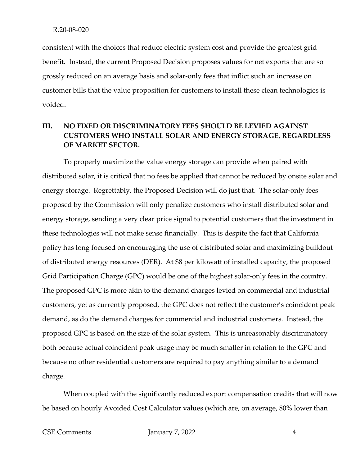consistent with the choices that reduce electric system cost and provide the greatest grid benefit. Instead, the current Proposed Decision proposes values for net exports that are so grossly reduced on an average basis and solar‐only fees that inflict such an increase on customer bills that the value proposition for customers to install these clean technologies is voided.

## **III. NO FIXED OR DISCRIMINATORY FEES SHOULD BE LEVIED AGAINST CUSTOMERS WHO INSTALL SOLAR AND ENERGY STORAGE, REGARDLESS OF MARKET SECTOR.**

To properly maximize the value energy storage can provide when paired with distributed solar, it is critical that no fees be applied that cannot be reduced by onsite solar and energy storage. Regrettably, the Proposed Decision will do just that. The solar-only fees proposed by the Commission will only penalize customers who install distributed solar and energy storage, sending a very clear price signal to potential customers that the investment in these technologies will not make sense financially. This is despite the fact that California policy has long focused on encouraging the use of distributed solar and maximizing buildout of distributed energy resources (DER). At \$8 per kilowatt of installed capacity, the proposed Grid Participation Charge (GPC) would be one of the highest solar-only fees in the country. The proposed GPC is more akin to the demand charges levied on commercial and industrial customers, yet as currently proposed, the GPC does not reflect the customer's coincident peak demand, as do the demand charges for commercial and industrial customers. Instead, the proposed GPC is based on the size of the solar system. This is unreasonably discriminatory both because actual coincident peak usage may be much smaller in relation to the GPC and because no other residential customers are required to pay anything similar to a demand charge.

When coupled with the significantly reduced export compensation credits that will now be based on hourly Avoided Cost Calculator values (which are, on average, 80% lower than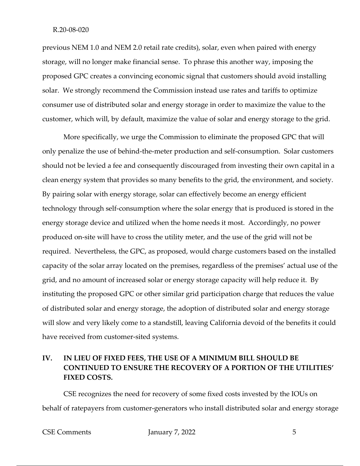previous NEM 1.0 and NEM 2.0 retail rate credits), solar, even when paired with energy storage, will no longer make financial sense. To phrase this another way, imposing the proposed GPC creates a convincing economic signal that customers should avoid installing solar. We strongly recommend the Commission instead use rates and tariffs to optimize consumer use of distributed solar and energy storage in order to maximize the value to the customer, which will, by default, maximize the value of solar and energy storage to the grid.

More specifically, we urge the Commission to eliminate the proposed GPC that will only penalize the use of behind‐the‐meter production and self‐consumption. Solar customers should not be levied a fee and consequently discouraged from investing their own capital in a clean energy system that provides so many benefits to the grid, the environment, and society. By pairing solar with energy storage, solar can effectively become an energy efficient technology through self‐consumption where the solar energy that is produced is stored in the energy storage device and utilized when the home needs it most. Accordingly, no power produced on‐site will have to cross the utility meter, and the use of the grid will not be required. Nevertheless, the GPC, as proposed, would charge customers based on the installed capacity of the solar array located on the premises, regardless of the premises' actual use of the grid, and no amount of increased solar or energy storage capacity will help reduce it. By instituting the proposed GPC or other similar grid participation charge that reduces the value of distributed solar and energy storage, the adoption of distributed solar and energy storage will slow and very likely come to a standstill, leaving California devoid of the benefits it could have received from customer-sited systems.

## **IV. IN LIEU OF FIXED FEES, THE USE OF A MINIMUM BILL SHOULD BE CONTINUED TO ENSURE THE RECOVERY OF A PORTION OF THE UTILITIES' FIXED COSTS.**

CSE recognizes the need for recovery of some fixed costs invested by the IOUs on behalf of ratepayers from customer-generators who install distributed solar and energy storage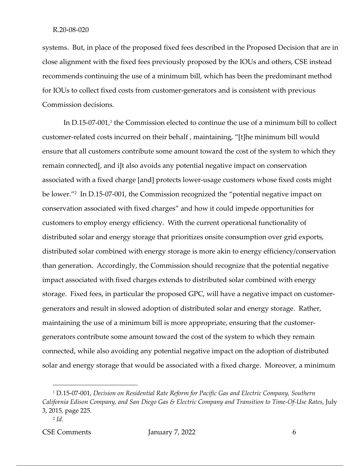systems. But, in place of the proposed fixed fees described in the Proposed Decision that are in close alignment with the fixed fees previously proposed by the IOUs and others, CSE instead recommends continuing the use of a minimum bill, which has been the predominant method for IOUs to collect fixed costs from customer-generators and is consistent with previous Commission decisions.

In  $D.15$ -07-001,<sup>1</sup> the Commission elected to continue the use of a minimum bill to collect customer‐related costs incurred on their behalf , maintaining, "[t]he minimum bill would ensure that all customers contribute some amount toward the cost of the system to which they remain connected[, and i]t also avoids any potential negative impact on conservation associated with a fixed charge [and] protects lower‐usage customers whose fixed costs might be lower."<sup>2</sup> In D.15-07-001, the Commission recognized the "potential negative impact on conservation associated with fixed charges" and how it could impede opportunities for customers to employ energy efficiency. With the current operational functionality of distributed solar and energy storage that prioritizes onsite consumption over grid exports, distributed solar combined with energy storage is more akin to energy efficiency/conservation than generation. Accordingly, the Commission should recognize that the potential negative impact associated with fixed charges extends to distributed solar combined with energy storage. Fixed fees, in particular the proposed GPC, will have a negative impact on customer‐ generators and result in slowed adoption of distributed solar and energy storage. Rather, maintaining the use of a minimum bill is more appropriate, ensuring that the customer‐ generators contribute some amount toward the cost of the system to which they remain connected, while also avoiding any potential negative impact on the adoption of distributed solar and energy storage that would be associated with a fixed charge. Moreover, a minimum

<sup>1</sup> D.15‐07‐001, *Decision on Residential Rate Reform for Pacific Gas and Electric Company, Southern* California Edison Company, and San Diego Gas & Electric Company and Transition to Time-Of-Use Rates, July 3, 2015, page 225.

<sup>2</sup> *Id.*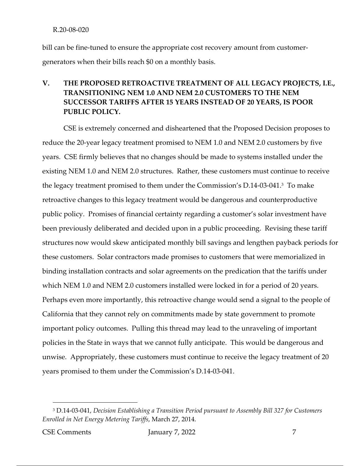bill can be fine-tuned to ensure the appropriate cost recovery amount from customergenerators when their bills reach \$0 on a monthly basis.

## **V. THE PROPOSED RETROACTIVE TREATMENT OF ALL LEGACY PROJECTS, I.E., TRANSITIONING NEM 1.0 AND NEM 2.0 CUSTOMERS TO THE NEM SUCCESSOR TARIFFS AFTER 15 YEARS INSTEAD OF 20 YEARS, IS POOR PUBLIC POLICY.**

CSE is extremely concerned and disheartened that the Proposed Decision proposes to reduce the 20‐year legacy treatment promised to NEM 1.0 and NEM 2.0 customers by five years. CSE firmly believes that no changes should be made to systems installed under the existing NEM 1.0 and NEM 2.0 structures. Rather, these customers must continue to receive the legacy treatment promised to them under the Commission's D.14‐03‐041.3 To make retroactive changes to this legacy treatment would be dangerous and counterproductive public policy. Promises of financial certainty regarding a customer's solar investment have been previously deliberated and decided upon in a public proceeding. Revising these tariff structures now would skew anticipated monthly bill savings and lengthen payback periods for these customers. Solar contractors made promises to customers that were memorialized in binding installation contracts and solar agreements on the predication that the tariffs under which NEM 1.0 and NEM 2.0 customers installed were locked in for a period of 20 years. Perhaps even more importantly, this retroactive change would send a signal to the people of California that they cannot rely on commitments made by state government to promote important policy outcomes. Pulling this thread may lead to the unraveling of important policies in the State in ways that we cannot fully anticipate. This would be dangerous and unwise. Appropriately, these customers must continue to receive the legacy treatment of 20 years promised to them under the Commission's D.14‐03‐041.

<sup>3</sup> D.14‐03‐041, *Decision Establishing a Transition Period pursuant to Assembly Bill 327 for Customers Enrolled in Net Energy Metering Tariffs*, March 27, 2014.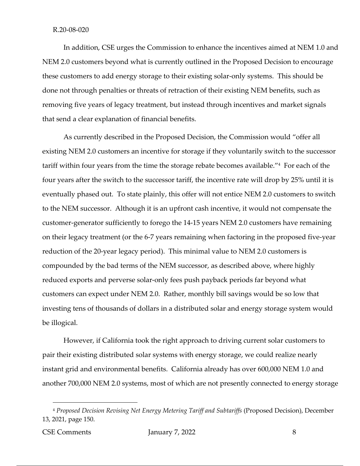In addition, CSE urges the Commission to enhance the incentives aimed at NEM 1.0 and NEM 2.0 customers beyond what is currently outlined in the Proposed Decision to encourage these customers to add energy storage to their existing solar‐only systems. This should be done not through penalties or threats of retraction of their existing NEM benefits, such as removing five years of legacy treatment, but instead through incentives and market signals that send a clear explanation of financial benefits.

As currently described in the Proposed Decision, the Commission would "offer all existing NEM 2.0 customers an incentive for storage if they voluntarily switch to the successor tariff within four years from the time the storage rebate becomes available."4 For each of the four years after the switch to the successor tariff, the incentive rate will drop by 25% until it is eventually phased out. To state plainly, this offer will not entice NEM 2.0 customers to switch to the NEM successor. Although it is an upfront cash incentive, it would not compensate the customer‐generator sufficiently to forego the 14‐15 years NEM 2.0 customers have remaining on their legacy treatment (or the 6‐7 years remaining when factoring in the proposed five‐year reduction of the 20‐year legacy period). This minimal value to NEM 2.0 customers is compounded by the bad terms of the NEM successor, as described above, where highly reduced exports and perverse solar‐only fees push payback periods far beyond what customers can expect under NEM 2.0. Rather, monthly bill savings would be so low that investing tens of thousands of dollars in a distributed solar and energy storage system would be illogical.

However, if California took the right approach to driving current solar customers to pair their existing distributed solar systems with energy storage, we could realize nearly instant grid and environmental benefits. California already has over 600,000 NEM 1.0 and another 700,000 NEM 2.0 systems, most of which are not presently connected to energy storage

<sup>4</sup> *Proposed Decision Revising Net Energy Metering Tariff and Subtariffs* (Proposed Decision), December 13, 2021, page 150.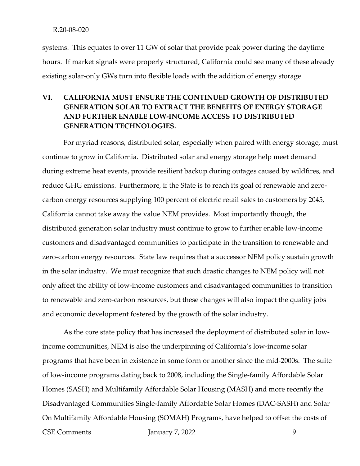systems. This equates to over 11 GW of solar that provide peak power during the daytime hours. If market signals were properly structured, California could see many of these already existing solar-only GWs turn into flexible loads with the addition of energy storage.

## **VI. CALIFORNIA MUST ENSURE THE CONTINUED GROWTH OF DISTRIBUTED GENERATION SOLAR TO EXTRACT THE BENEFITS OF ENERGY STORAGE AND FURTHER ENABLE LOW‐INCOME ACCESS TO DISTRIBUTED GENERATION TECHNOLOGIES.**

For myriad reasons, distributed solar, especially when paired with energy storage, must continue to grow in California. Distributed solar and energy storage help meet demand during extreme heat events, provide resilient backup during outages caused by wildfires, and reduce GHG emissions. Furthermore, if the State is to reach its goal of renewable and zerocarbon energy resources supplying 100 percent of electric retail sales to customers by 2045, California cannot take away the value NEM provides. Most importantly though, the distributed generation solar industry must continue to grow to further enable low‐income customers and disadvantaged communities to participate in the transition to renewable and zero-carbon energy resources. State law requires that a successor NEM policy sustain growth in the solar industry. We must recognize that such drastic changes to NEM policy will not only affect the ability of low‐income customers and disadvantaged communities to transition to renewable and zero‐carbon resources, but these changes will also impact the quality jobs and economic development fostered by the growth of the solar industry.

CSE Comments January 7, 2022 9 As the core state policy that has increased the deployment of distributed solar in low‐ income communities, NEM is also the underpinning of California's low‐income solar programs that have been in existence in some form or another since the mid‐2000s. The suite of low‐income programs dating back to 2008, including the Single‐family Affordable Solar Homes (SASH) and Multifamily Affordable Solar Housing (MASH) and more recently the Disadvantaged Communities Single‐family Affordable Solar Homes (DAC‐SASH) and Solar On Multifamily Affordable Housing (SOMAH) Programs, have helped to offset the costs of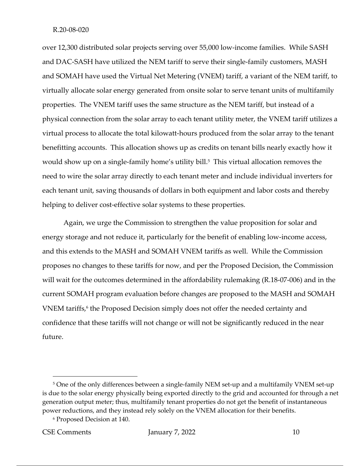over 12,300 distributed solar projects serving over 55,000 low‐income families. While SASH and DAC‐SASH have utilized the NEM tariff to serve their single‐family customers, MASH and SOMAH have used the Virtual Net Metering (VNEM) tariff, a variant of the NEM tariff, to virtually allocate solar energy generated from onsite solar to serve tenant units of multifamily properties. The VNEM tariff uses the same structure as the NEM tariff, but instead of a physical connection from the solar array to each tenant utility meter, the VNEM tariff utilizes a virtual process to allocate the total kilowatt‐hours produced from the solar array to the tenant benefitting accounts. This allocation shows up as credits on tenant bills nearly exactly how it would show up on a single-family home's utility bill.<sup>5</sup> This virtual allocation removes the need to wire the solar array directly to each tenant meter and include individual inverters for each tenant unit, saving thousands of dollars in both equipment and labor costs and thereby helping to deliver cost-effective solar systems to these properties.

Again, we urge the Commission to strengthen the value proposition for solar and energy storage and not reduce it, particularly for the benefit of enabling low-income access, and this extends to the MASH and SOMAH VNEM tariffs as well. While the Commission proposes no changes to these tariffs for now, and per the Proposed Decision, the Commission will wait for the outcomes determined in the affordability rulemaking (R.18‐07‐006) and in the current SOMAH program evaluation before changes are proposed to the MASH and SOMAH VNEM tariffs,<sup>6</sup> the Proposed Decision simply does not offer the needed certainty and confidence that these tariffs will not change or will not be significantly reduced in the near future.

<sup>&</sup>lt;sup>5</sup> One of the only differences between a single-family NEM set-up and a multifamily VNEM set-up is due to the solar energy physically being exported directly to the grid and accounted for through a net generation output meter; thus, multifamily tenant properties do not get the benefit of instantaneous power reductions, and they instead rely solely on the VNEM allocation for their benefits.

<sup>6</sup> Proposed Decision at 140.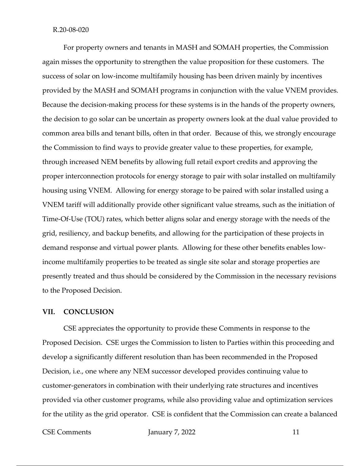For property owners and tenants in MASH and SOMAH properties, the Commission again misses the opportunity to strengthen the value proposition for these customers. The success of solar on low‐income multifamily housing has been driven mainly by incentives provided by the MASH and SOMAH programs in conjunction with the value VNEM provides. Because the decision-making process for these systems is in the hands of the property owners, the decision to go solar can be uncertain as property owners look at the dual value provided to common area bills and tenant bills, often in that order. Because of this, we strongly encourage the Commission to find ways to provide greater value to these properties, for example, through increased NEM benefits by allowing full retail export credits and approving the proper interconnection protocols for energy storage to pair with solar installed on multifamily housing using VNEM. Allowing for energy storage to be paired with solar installed using a VNEM tariff will additionally provide other significant value streams, such as the initiation of Time‐Of‐Use (TOU) rates, which better aligns solar and energy storage with the needs of the grid, resiliency, and backup benefits, and allowing for the participation of these projects in demand response and virtual power plants. Allowing for these other benefits enables low‐ income multifamily properties to be treated as single site solar and storage properties are presently treated and thus should be considered by the Commission in the necessary revisions to the Proposed Decision.

#### **VII. CONCLUSION**

CSE appreciates the opportunity to provide these Comments in response to the Proposed Decision. CSE urges the Commission to listen to Parties within this proceeding and develop a significantly different resolution than has been recommended in the Proposed Decision, i.e., one where any NEM successor developed provides continuing value to customer‐generators in combination with their underlying rate structures and incentives provided via other customer programs, while also providing value and optimization services for the utility as the grid operator. CSE is confident that the Commission can create a balanced